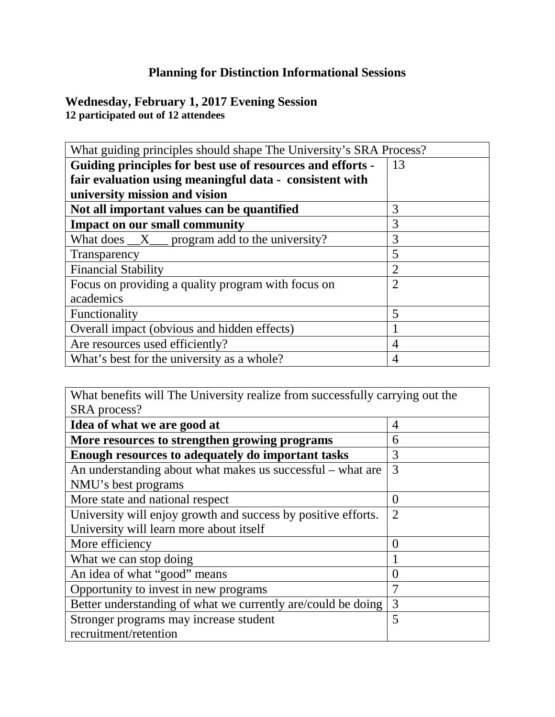## **Planning for Distinction Informational Sessions**

**Wednesday, February 1, 2017 Evening Session 12 participated out of 12 attendees**

| What guiding principles should shape The University's SRA Process? |                |  |
|--------------------------------------------------------------------|----------------|--|
| Guiding principles for best use of resources and efforts -         | 13             |  |
| fair evaluation using meaningful data - consistent with            |                |  |
| university mission and vision                                      |                |  |
| Not all important values can be quantified                         | 3              |  |
| <b>Impact on our small community</b>                               | 3              |  |
| What does $\_\_X\_\_$ program add to the university?               | 3              |  |
| Transparency                                                       | 5              |  |
| <b>Financial Stability</b>                                         | $\overline{2}$ |  |
| Focus on providing a quality program with focus on                 | $\overline{2}$ |  |
| academics                                                          |                |  |
| Functionality                                                      | 5              |  |
| Overall impact (obvious and hidden effects)                        |                |  |
| Are resources used efficiently?                                    | $\overline{4}$ |  |
| What's best for the university as a whole?                         | 4              |  |

What benefits will The University realize from successfully carrying out the SRA process? **Idea of what we are good at**  $\vert 4 \vert$ **More resources to strengthen growing programs**  $\begin{bmatrix} 6 \end{bmatrix}$ **Enough resources to adequately do important tasks**  $\begin{bmatrix} 3 \end{bmatrix}$ An understanding about what makes us successful – what are NMU's best programs 3 More state and national respect  $\vert 0 \vert$ University will enjoy growth and success by positive efforts. University will learn more about itself  $\mathcal{L}$ More efficiency  $\vert 0 \vert$ What we can stop doing  $\begin{array}{c|c}\n1\n\end{array}$ An idea of what "good" means  $\vert 0 \rangle$ Opportunity to invest in new programs  $\vert 7 \vert$ Better understanding of what we currently are/could be doing  $\vert 3 \rangle$ Stronger programs may increase student recruitment/retention 5